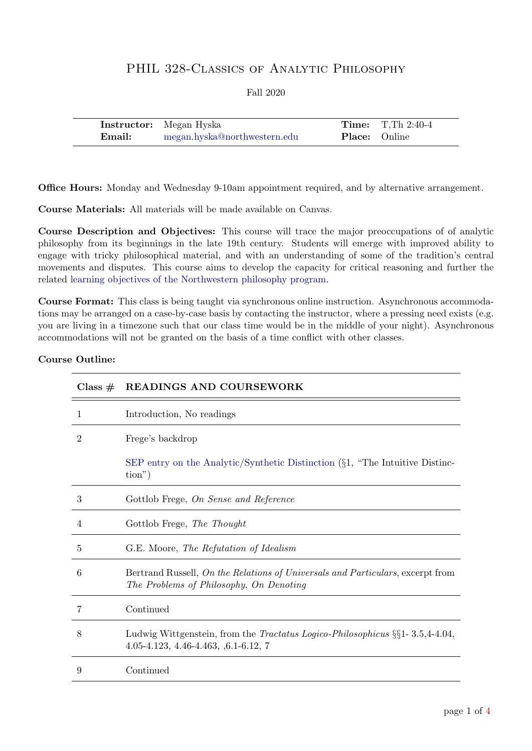# PHIL 328-CLASSICS OF ANALYTIC PHILOSOPHY

### Fall 2020

|        | <b>Instructor:</b> Megan Hyska |                      | <b>Time:</b> $T, Th\ 2:40-4$ |
|--------|--------------------------------|----------------------|------------------------------|
| Email: | megan.hyska@northwestern.edu   | <b>Place:</b> Online |                              |

Office Hours: Monday and Wednesday 9-10am appointment required, and by alternative arrangement.

Course Materials: All materials will be made available on Canvas.

Course Description and Objectives: This course will trace the major preoccupations of of analytic philosophy from its beginnings in the late 19th century. Students will emerge with improved ability to engage with tricky philosophical material, and with an understanding of some of the tradition's central movements and disputes. This course aims to develop the capacity for critical reasoning and further the related [learning objectives of the Northwestern philosophy program.](https://www.philosophy.northwestern.edu/undergraduate/philosophy-learning-goals/)

Course Format: This class is being taught via synchronous online instruction. Asynchronous accommodations may be arranged on a case-by-case basis by contacting the instructor, where a pressing need exists (e.g. you are living in a timezone such that our class time would be in the middle of your night). Asynchronous accommodations will not be granted on the basis of a time conflict with other classes.

| Class $#$ | <b>READINGS AND COURSEWORK</b>                                                                                                            |
|-----------|-------------------------------------------------------------------------------------------------------------------------------------------|
| 1         | Introduction, No readings                                                                                                                 |
| 2         | Frege's backdrop                                                                                                                          |
|           | SEP entry on the Analytic/Synthetic Distinction $(\S1, \text{ "The Intuitive Distinc-})$<br>$\text{tion}^{\prime\prime}$ )                |
| 3         | Gottlob Frege, On Sense and Reference                                                                                                     |
| 4         | Gottlob Frege, The Thought                                                                                                                |
| 5         | G.E. Moore, The Refutation of Idealism                                                                                                    |
| 6         | Bertrand Russell, On the Relations of Universals and Particulars, excerpt from<br>The Problems of Philosophy, On Denoting                 |
| 7         | Continued                                                                                                                                 |
| 8         | Ludwig Wittgenstein, from the <i>Tractatus Logico-Philosophicus</i> $\S\S1 - 3.5,4-4.04$ ,<br>$4.05 - 4.123, 4.46 - 4.463, 6.1 - 6.12, 7$ |
| 9         | Continued                                                                                                                                 |

#### Course Outline: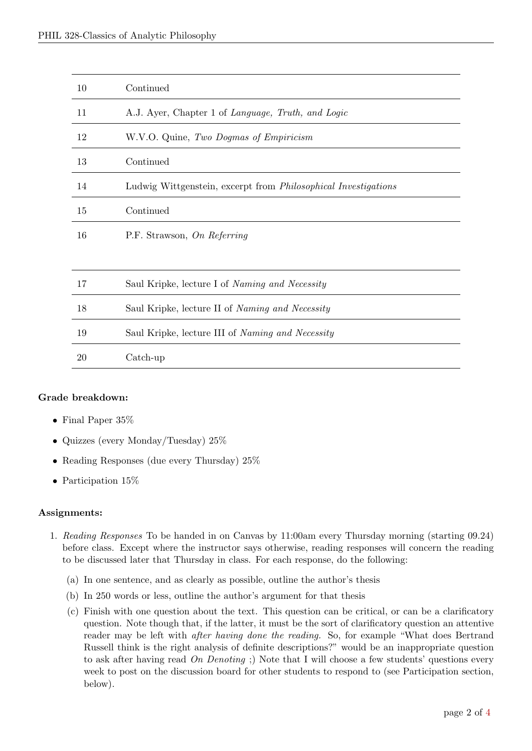| 10 | Continued                                                             |
|----|-----------------------------------------------------------------------|
| 11 | A.J. Ayer, Chapter 1 of Language, Truth, and Logic                    |
| 12 | W.V.O. Quine, Two Dogmas of Empiricism                                |
| 13 | Continued                                                             |
| 14 | Ludwig Wittgenstein, excerpt from <i>Philosophical Investigations</i> |
| 15 | Continued                                                             |
| 16 | P.F. Strawson, On Referring                                           |
|    |                                                                       |
| 17 | Saul Kripke, lecture I of <i>Naming and Necessity</i>                 |
| 18 | Saul Kripke, lecture II of Naming and Necessity                       |
| 19 | Saul Kripke, lecture III of Naming and Necessity                      |
| 20 | $\operatorname{Catch-up}$                                             |
|    |                                                                       |

#### Grade breakdown:

- Final Paper 35%
- Quizzes (every Monday/Tuesday)  $25\%$
- Reading Responses (due every Thursday)  $25\%$
- Participation 15\%

# Assignments:

- 1. Reading Responses To be handed in on Canvas by 11:00am every Thursday morning (starting 09.24) before class. Except where the instructor says otherwise, reading responses will concern the reading to be discussed later that Thursday in class. For each response, do the following:
	- (a) In one sentence, and as clearly as possible, outline the author's thesis
	- (b) In 250 words or less, outline the author's argument for that thesis
	- (c) Finish with one question about the text. This question can be critical, or can be a clarificatory question. Note though that, if the latter, it must be the sort of clarificatory question an attentive reader may be left with after having done the reading. So, for example "What does Bertrand Russell think is the right analysis of definite descriptions?" would be an inappropriate question to ask after having read On Denoting ;) Note that I will choose a few students' questions every week to post on the discussion board for other students to respond to (see Participation section, below).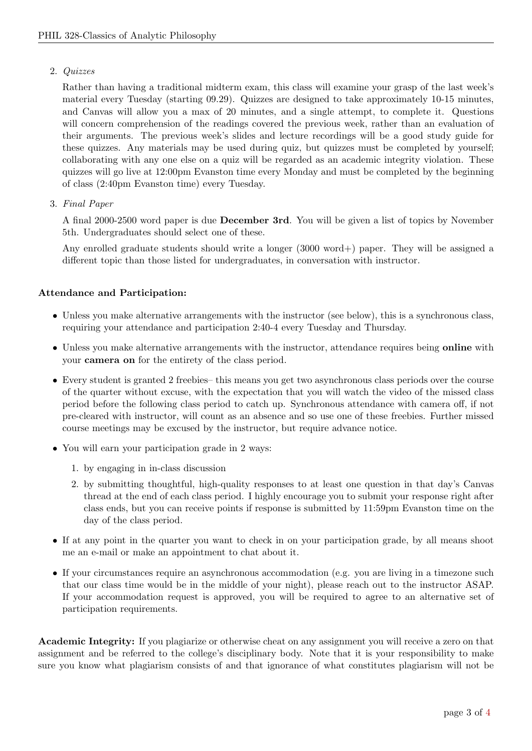# 2. Quizzes

Rather than having a traditional midterm exam, this class will examine your grasp of the last week's material every Tuesday (starting 09.29). Quizzes are designed to take approximately 10-15 minutes, and Canvas will allow you a max of 20 minutes, and a single attempt, to complete it. Questions will concern comprehension of the readings covered the previous week, rather than an evaluation of their arguments. The previous week's slides and lecture recordings will be a good study guide for these quizzes. Any materials may be used during quiz, but quizzes must be completed by yourself; collaborating with any one else on a quiz will be regarded as an academic integrity violation. These quizzes will go live at 12:00pm Evanston time every Monday and must be completed by the beginning of class (2:40pm Evanston time) every Tuesday.

3. Final Paper

A final 2000-2500 word paper is due December 3rd. You will be given a list of topics by November 5th. Undergraduates should select one of these.

Any enrolled graduate students should write a longer (3000 word+) paper. They will be assigned a different topic than those listed for undergraduates, in conversation with instructor.

# Attendance and Participation:

- Unless you make alternative arrangements with the instructor (see below), this is a synchronous class, requiring your attendance and participation 2:40-4 every Tuesday and Thursday.
- Unless you make alternative arrangements with the instructor, attendance requires being **online** with your camera on for the entirety of the class period.
- Every student is granted 2 freebies– this means you get two asynchronous class periods over the course of the quarter without excuse, with the expectation that you will watch the video of the missed class period before the following class period to catch up. Synchronous attendance with camera off, if not pre-cleared with instructor, will count as an absence and so use one of these freebies. Further missed course meetings may be excused by the instructor, but require advance notice.
- You will earn your participation grade in 2 ways:
	- 1. by engaging in in-class discussion
	- 2. by submitting thoughtful, high-quality responses to at least one question in that day's Canvas thread at the end of each class period. I highly encourage you to submit your response right after class ends, but you can receive points if response is submitted by 11:59pm Evanston time on the day of the class period.
- If at any point in the quarter you want to check in on your participation grade, by all means shoot me an e-mail or make an appointment to chat about it.
- If your circumstances require an asynchronous accommodation (e.g. you are living in a timezone such that our class time would be in the middle of your night), please reach out to the instructor ASAP. If your accommodation request is approved, you will be required to agree to an alternative set of participation requirements.

Academic Integrity: If you plagiarize or otherwise cheat on any assignment you will receive a zero on that assignment and be referred to the college's disciplinary body. Note that it is your responsibility to make sure you know what plagiarism consists of and that ignorance of what constitutes plagiarism will not be